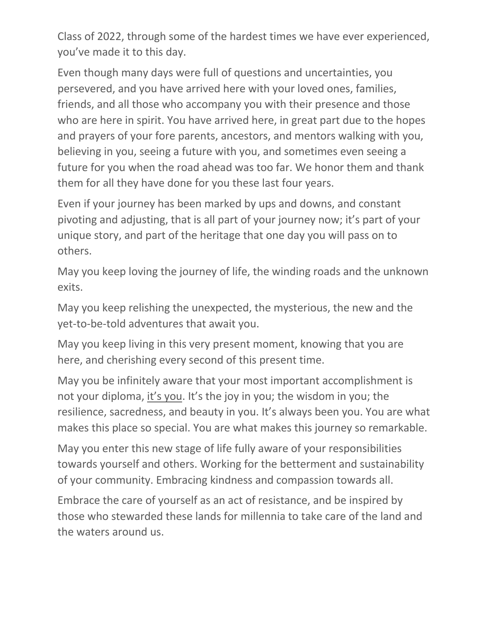Class of 2022, through some of the hardest times we have ever experienced, you've made it to this day.

Even though many days were full of questions and uncertainties, you persevered, and you have arrived here with your loved ones, families, friends, and all those who accompany you with their presence and those who are here in spirit. You have arrived here, in great part due to the hopes and prayers of your fore parents, ancestors, and mentors walking with you, believing in you, seeing a future with you, and sometimes even seeing a future for you when the road ahead was too far. We honor them and thank them for all they have done for you these last four years.

Even if your journey has been marked by ups and downs, and constant pivoting and adjusting, that is all part of your journey now; it's part of your unique story, and part of the heritage that one day you will pass on to others.

May you keep loving the journey of life, the winding roads and the unknown exits.

May you keep relishing the unexpected, the mysterious, the new and the yet-to-be-told adventures that await you.

May you keep living in this very present moment, knowing that you are here, and cherishing every second of this present time.

May you be infinitely aware that your most important accomplishment is not your diploma, it's you. It's the joy in you; the wisdom in you; the resilience, sacredness, and beauty in you. It's always been you. You are what makes this place so special. You are what makes this journey so remarkable.

May you enter this new stage of life fully aware of your responsibilities towards yourself and others. Working for the betterment and sustainability of your community. Embracing kindness and compassion towards all.

Embrace the care of yourself as an act of resistance, and be inspired by those who stewarded these lands for millennia to take care of the land and the waters around us.